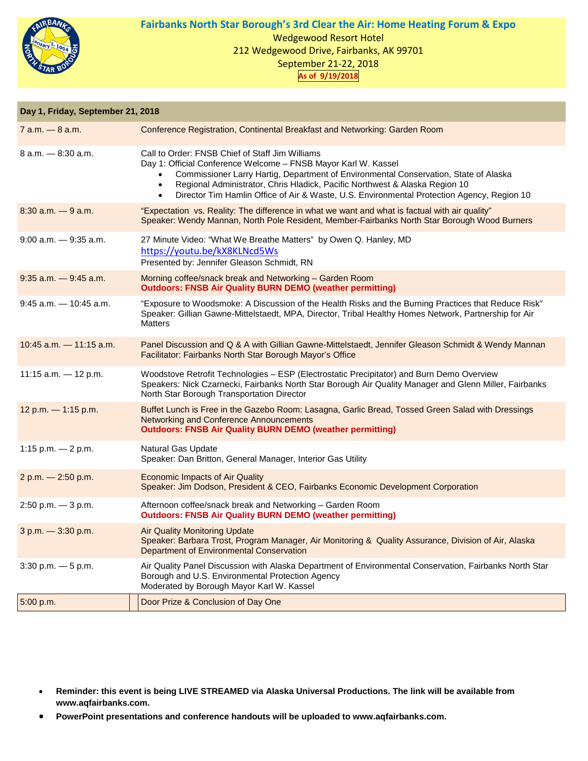

## **Fairbanks North Star Borough's 3rd Clear the Air: Home Heating Forum & Expo** Wedgewood Resort Hotel 212 Wedgewood Drive, Fairbanks, AK 99701 September 21-22, 2018 **As of 9/19/2018**

| Day 1, Friday, September 21, 2018 |                                                                                                                                                                                                                                                                                                                                                                                                                               |  |
|-----------------------------------|-------------------------------------------------------------------------------------------------------------------------------------------------------------------------------------------------------------------------------------------------------------------------------------------------------------------------------------------------------------------------------------------------------------------------------|--|
| $7$ a.m. $-$ 8 a.m.               | Conference Registration, Continental Breakfast and Networking: Garden Room                                                                                                                                                                                                                                                                                                                                                    |  |
| $8$ a.m. $-$ 8:30 a.m.            | Call to Order: FNSB Chief of Staff Jim Williams<br>Day 1: Official Conference Welcome - FNSB Mayor Karl W. Kassel<br>Commissioner Larry Hartig, Department of Environmental Conservation, State of Alaska<br>$\bullet$<br>Regional Administrator, Chris Hladick, Pacific Northwest & Alaska Region 10<br>$\bullet$<br>Director Tim Hamlin Office of Air & Waste, U.S. Environmental Protection Agency, Region 10<br>$\bullet$ |  |
| $8:30$ a.m. $-9$ a.m.             | "Expectation vs. Reality: The difference in what we want and what is factual with air quality"<br>Speaker: Wendy Mannan, North Pole Resident, Member-Fairbanks North Star Borough Wood Burners                                                                                                                                                                                                                                |  |
| $9:00$ a.m. $-9:35$ a.m.          | 27 Minute Video: "What We Breathe Matters" by Owen Q. Hanley, MD<br>https://youtu.be/kX8KLNcd5Ws<br>Presented by: Jennifer Gleason Schmidt, RN                                                                                                                                                                                                                                                                                |  |
| $9:35$ a.m. $-9:45$ a.m.          | Morning coffee/snack break and Networking - Garden Room<br><b>Outdoors: FNSB Air Quality BURN DEMO (weather permitting)</b>                                                                                                                                                                                                                                                                                                   |  |
| $9:45$ a.m. $-10:45$ a.m.         | "Exposure to Woodsmoke: A Discussion of the Health Risks and the Burning Practices that Reduce Risk"<br>Speaker: Gillian Gawne-Mittelstaedt, MPA, Director, Tribal Healthy Homes Network, Partnership for Air<br><b>Matters</b>                                                                                                                                                                                               |  |
| $10:45$ a.m. $-11:15$ a.m.        | Panel Discussion and Q & A with Gillian Gawne-Mittelstaedt, Jennifer Gleason Schmidt & Wendy Mannan<br>Facilitator: Fairbanks North Star Borough Mayor's Office                                                                                                                                                                                                                                                               |  |
| 11:15 a.m. $-$ 12 p.m.            | Woodstove Retrofit Technologies - ESP (Electrostatic Precipitator) and Burn Demo Overview<br>Speakers: Nick Czarnecki, Fairbanks North Star Borough Air Quality Manager and Glenn Miller, Fairbanks<br>North Star Borough Transportation Director                                                                                                                                                                             |  |
| 12 p.m. - 1:15 p.m.               | Buffet Lunch is Free in the Gazebo Room: Lasagna, Garlic Bread, Tossed Green Salad with Dressings<br>Networking and Conference Announcements<br><b>Outdoors: FNSB Air Quality BURN DEMO (weather permitting)</b>                                                                                                                                                                                                              |  |
| 1:15 p.m. $-2$ p.m.               | Natural Gas Update<br>Speaker: Dan Britton, General Manager, Interior Gas Utility                                                                                                                                                                                                                                                                                                                                             |  |
| 2 p.m. - 2:50 p.m.                | <b>Economic Impacts of Air Quality</b><br>Speaker: Jim Dodson, President & CEO, Fairbanks Economic Development Corporation                                                                                                                                                                                                                                                                                                    |  |
| $2:50$ p.m. $-3$ p.m.             | Afternoon coffee/snack break and Networking - Garden Room<br><b>Outdoors: FNSB Air Quality BURN DEMO (weather permitting)</b>                                                                                                                                                                                                                                                                                                 |  |
| 3 p.m. - 3:30 p.m.                | <b>Air Quality Monitoring Update</b><br>Speaker: Barbara Trost, Program Manager, Air Monitoring & Quality Assurance, Division of Air, Alaska<br><b>Department of Environmental Conservation</b>                                                                                                                                                                                                                               |  |
| $3:30$ p.m. $-5$ p.m.             | Air Quality Panel Discussion with Alaska Department of Environmental Conservation, Fairbanks North Star<br>Borough and U.S. Environmental Protection Agency<br>Moderated by Borough Mayor Karl W. Kassel                                                                                                                                                                                                                      |  |
| 5:00 p.m.                         | Door Prize & Conclusion of Day One                                                                                                                                                                                                                                                                                                                                                                                            |  |

- **Reminder: this event is being LIVE STREAMED via Alaska Universal Productions. The link will be available from www.aqfairbanks.com.**
- **PowerPoint presentations and conference handouts will be uploaded to www.aqfairbanks.com.**